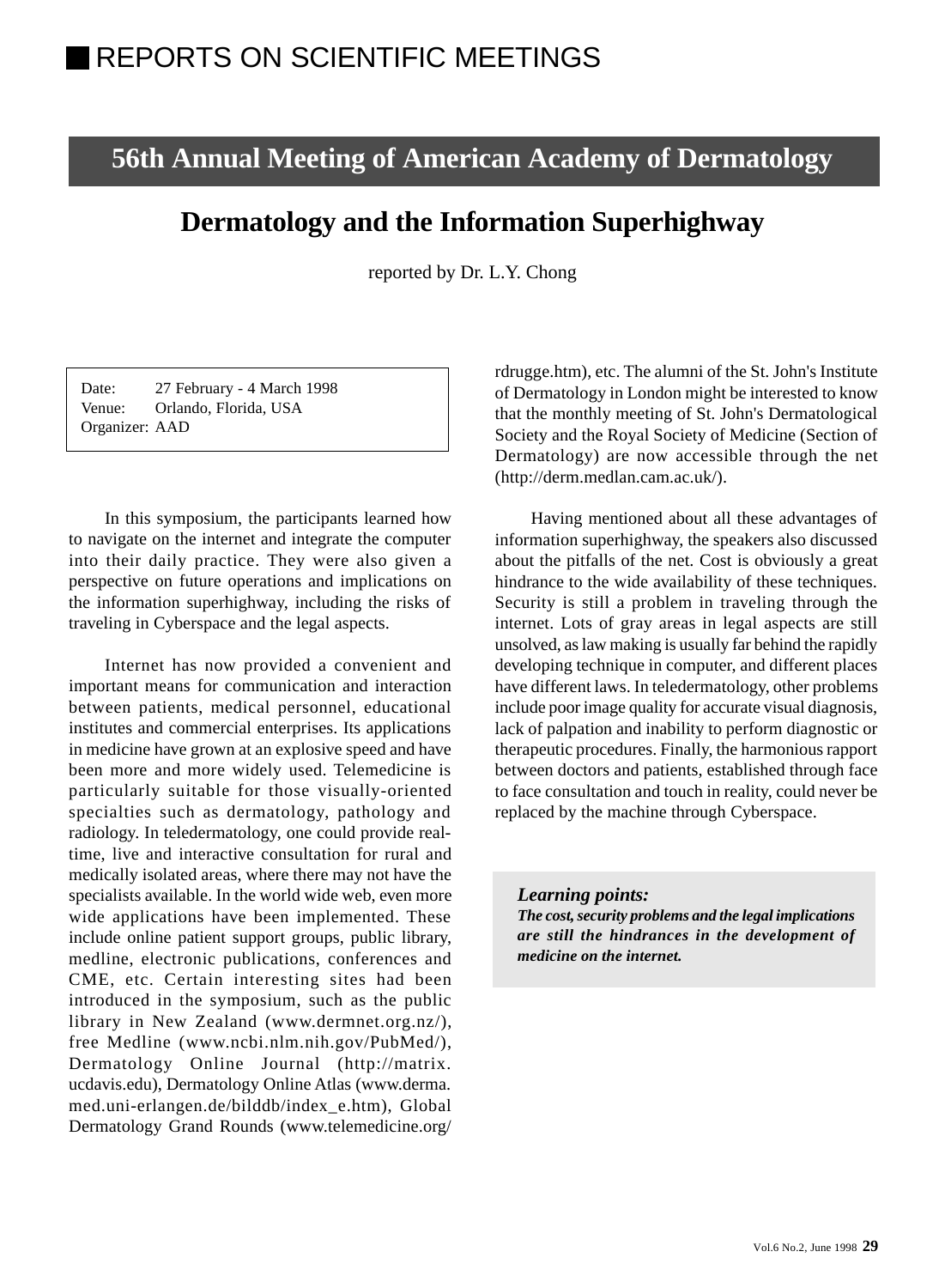# **56th Annual Meeting of American Academy of Dermatology**

## **Dermatology and the Information Superhighway**

reported by Dr. L.Y. Chong

Date: 27 February - 4 March 1998 Venue: Orlando, Florida, USA Organizer: AAD

In this symposium, the participants learned how to navigate on the internet and integrate the computer into their daily practice. They were also given a perspective on future operations and implications on the information superhighway, including the risks of traveling in Cyberspace and the legal aspects.

Internet has now provided a convenient and important means for communication and interaction between patients, medical personnel, educational institutes and commercial enterprises. Its applications in medicine have grown at an explosive speed and have been more and more widely used. Telemedicine is particularly suitable for those visually-oriented specialties such as dermatology, pathology and radiology. In teledermatology, one could provide realtime, live and interactive consultation for rural and medically isolated areas, where there may not have the specialists available. In the world wide web, even more wide applications have been implemented. These include online patient support groups, public library, medline, electronic publications, conferences and CME, etc. Certain interesting sites had been introduced in the symposium, such as the public library in New Zealand (www.dermnet.org.nz/), free Medline (www.ncbi.nlm.nih.gov/PubMed/), Dermatology Online Journal (http://matrix. ucdavis.edu), Dermatology Online Atlas (www.derma. med.uni-erlangen.de/bilddb/index\_e.htm), Global Dermatology Grand Rounds (www.telemedicine.org/

rdrugge.htm), etc. The alumni of the St. John's Institute of Dermatology in London might be interested to know that the monthly meeting of St. John's Dermatological Society and the Royal Society of Medicine (Section of Dermatology) are now accessible through the net (http://derm.medlan.cam.ac.uk/).

Having mentioned about all these advantages of information superhighway, the speakers also discussed about the pitfalls of the net. Cost is obviously a great hindrance to the wide availability of these techniques. Security is still a problem in traveling through the internet. Lots of gray areas in legal aspects are still unsolved, as law making is usually far behind the rapidly developing technique in computer, and different places have different laws. In teledermatology, other problems include poor image quality for accurate visual diagnosis, lack of palpation and inability to perform diagnostic or therapeutic procedures. Finally, the harmonious rapport between doctors and patients, established through face to face consultation and touch in reality, could never be replaced by the machine through Cyberspace.

*Learning points: The cost, security problems and the legal implications are still the hindrances in the development of medicine on the internet.*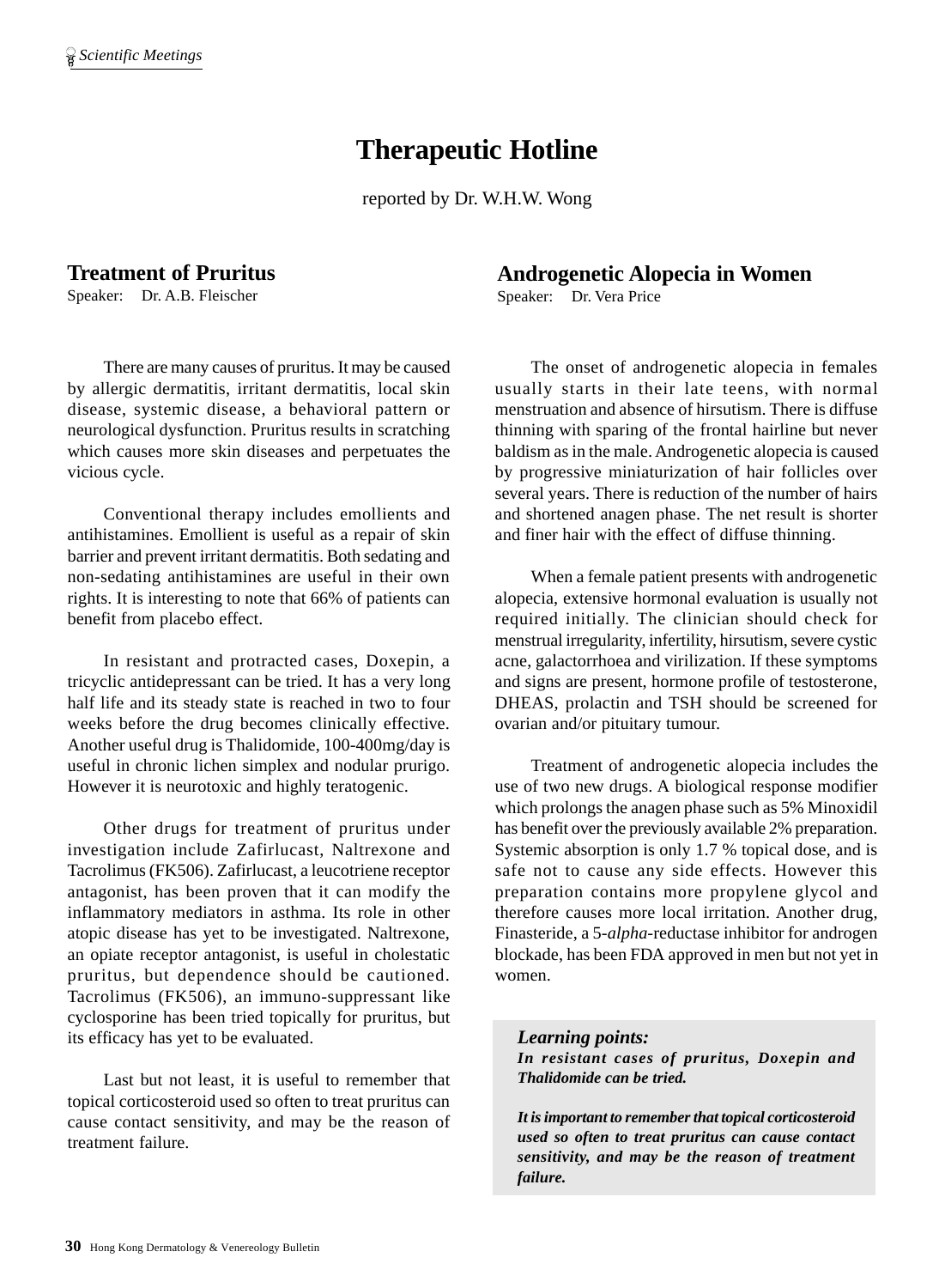## **Therapeutic Hotline**

reported by Dr. W.H.W. Wong

### **Treatment of Pruritus**

Speaker: Dr. A.B. Fleischer

There are many causes of pruritus. It may be caused by allergic dermatitis, irritant dermatitis, local skin disease, systemic disease, a behavioral pattern or neurological dysfunction. Pruritus results in scratching which causes more skin diseases and perpetuates the vicious cycle.

Conventional therapy includes emollients and antihistamines. Emollient is useful as a repair of skin barrier and prevent irritant dermatitis. Both sedating and non-sedating antihistamines are useful in their own rights. It is interesting to note that 66% of patients can benefit from placebo effect.

In resistant and protracted cases, Doxepin, a tricyclic antidepressant can be tried. It has a very long half life and its steady state is reached in two to four weeks before the drug becomes clinically effective. Another useful drug is Thalidomide, 100-400mg/day is useful in chronic lichen simplex and nodular prurigo. However it is neurotoxic and highly teratogenic.

Other drugs for treatment of pruritus under investigation include Zafirlucast, Naltrexone and Tacrolimus (FK506). Zafirlucast, a leucotriene receptor antagonist, has been proven that it can modify the inflammatory mediators in asthma. Its role in other atopic disease has yet to be investigated. Naltrexone, an opiate receptor antagonist, is useful in cholestatic pruritus, but dependence should be cautioned. Tacrolimus (FK506), an immuno-suppressant like cyclosporine has been tried topically for pruritus, but its efficacy has yet to be evaluated.

Last but not least, it is useful to remember that topical corticosteroid used so often to treat pruritus can cause contact sensitivity, and may be the reason of treatment failure.

### **Androgenetic Alopecia in Women**

Speaker: Dr. Vera Price

The onset of androgenetic alopecia in females usually starts in their late teens, with normal menstruation and absence of hirsutism. There is diffuse thinning with sparing of the frontal hairline but never baldism as in the male. Androgenetic alopecia is caused by progressive miniaturization of hair follicles over several years. There is reduction of the number of hairs and shortened anagen phase. The net result is shorter and finer hair with the effect of diffuse thinning.

When a female patient presents with androgenetic alopecia, extensive hormonal evaluation is usually not required initially. The clinician should check for menstrual irregularity, infertility, hirsutism, severe cystic acne, galactorrhoea and virilization. If these symptoms and signs are present, hormone profile of testosterone, DHEAS, prolactin and TSH should be screened for ovarian and/or pituitary tumour.

Treatment of androgenetic alopecia includes the use of two new drugs. A biological response modifier which prolongs the anagen phase such as 5% Minoxidil has benefit over the previously available 2% preparation. Systemic absorption is only 1.7 % topical dose, and is safe not to cause any side effects. However this preparation contains more propylene glycol and therefore causes more local irritation. Another drug, Finasteride, a 5-*alpha*-reductase inhibitor for androgen blockade, has been FDA approved in men but not yet in women.

#### *Learning points:*

*In resistant cases of pruritus, Doxepin and Thalidomide can be tried.*

*It is important to remember that topical corticosteroid used so often to treat pruritus can cause contact sensitivity, and may be the reason of treatment failure.*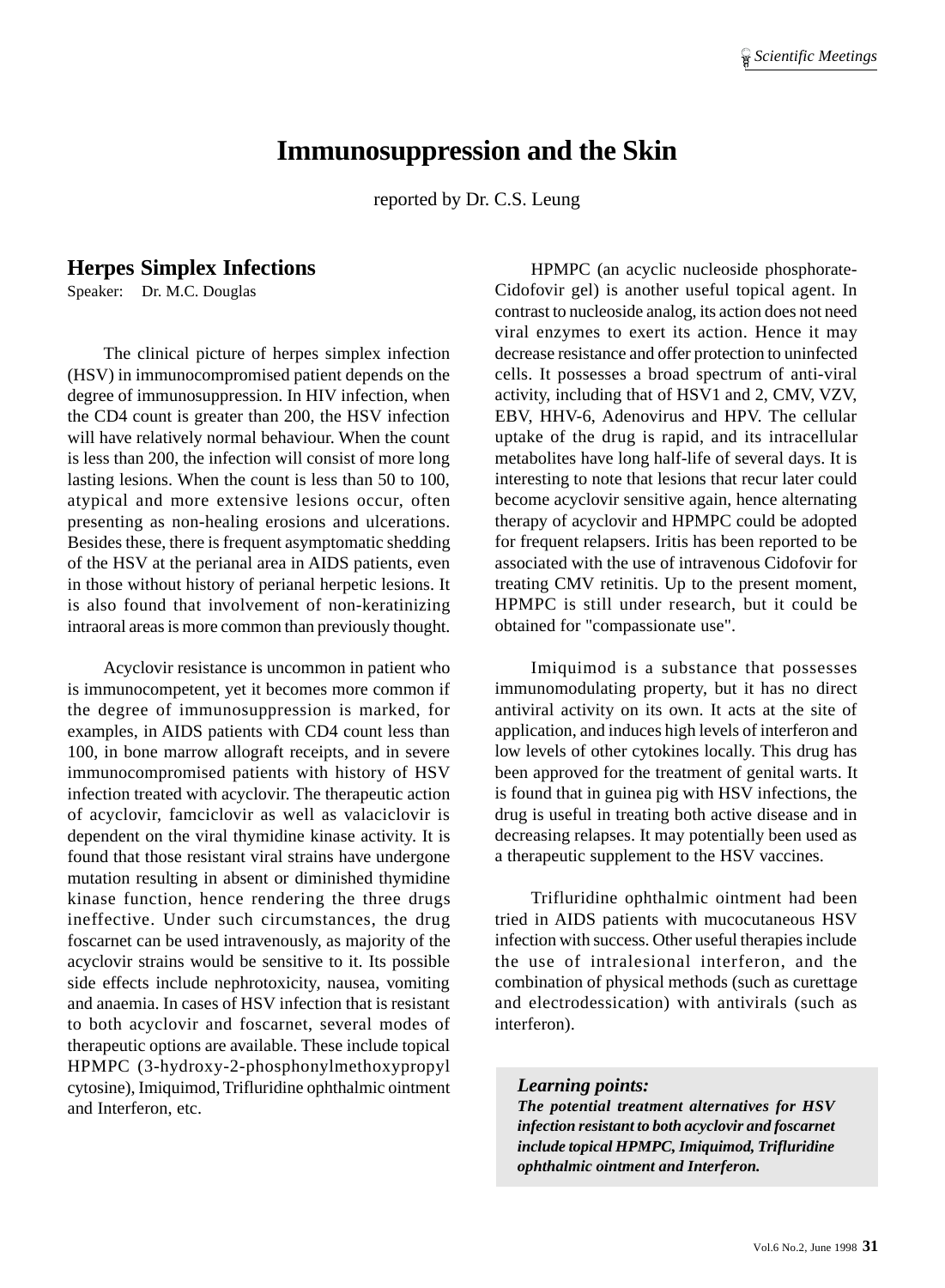## **Immunosuppression and the Skin**

reported by Dr. C.S. Leung

#### **Herpes Simplex Infections**

Speaker: Dr. M.C. Douglas

The clinical picture of herpes simplex infection (HSV) in immunocompromised patient depends on the degree of immunosuppression. In HIV infection, when the CD4 count is greater than 200, the HSV infection will have relatively normal behaviour. When the count is less than 200, the infection will consist of more long lasting lesions. When the count is less than 50 to 100, atypical and more extensive lesions occur, often presenting as non-healing erosions and ulcerations. Besides these, there is frequent asymptomatic shedding of the HSV at the perianal area in AIDS patients, even in those without history of perianal herpetic lesions. It is also found that involvement of non-keratinizing intraoral areas is more common than previously thought.

Acyclovir resistance is uncommon in patient who is immunocompetent, yet it becomes more common if the degree of immunosuppression is marked, for examples, in AIDS patients with CD4 count less than 100, in bone marrow allograft receipts, and in severe immunocompromised patients with history of HSV infection treated with acyclovir. The therapeutic action of acyclovir, famciclovir as well as valaciclovir is dependent on the viral thymidine kinase activity. It is found that those resistant viral strains have undergone mutation resulting in absent or diminished thymidine kinase function, hence rendering the three drugs ineffective. Under such circumstances, the drug foscarnet can be used intravenously, as majority of the acyclovir strains would be sensitive to it. Its possible side effects include nephrotoxicity, nausea, vomiting and anaemia. In cases of HSV infection that is resistant to both acyclovir and foscarnet, several modes of therapeutic options are available. These include topical HPMPC (3-hydroxy-2-phosphonylmethoxypropyl cytosine), Imiquimod, Trifluridine ophthalmic ointment and Interferon, etc.

HPMPC (an acyclic nucleoside phosphorate-Cidofovir gel) is another useful topical agent. In contrast to nucleoside analog, its action does not need viral enzymes to exert its action. Hence it may decrease resistance and offer protection to uninfected cells. It possesses a broad spectrum of anti-viral activity, including that of HSV1 and 2, CMV, VZV, EBV, HHV-6, Adenovirus and HPV. The cellular uptake of the drug is rapid, and its intracellular metabolites have long half-life of several days. It is interesting to note that lesions that recur later could become acyclovir sensitive again, hence alternating therapy of acyclovir and HPMPC could be adopted for frequent relapsers. Iritis has been reported to be associated with the use of intravenous Cidofovir for treating CMV retinitis. Up to the present moment, HPMPC is still under research, but it could be obtained for "compassionate use".

Imiquimod is a substance that possesses immunomodulating property, but it has no direct antiviral activity on its own. It acts at the site of application, and induces high levels of interferon and low levels of other cytokines locally. This drug has been approved for the treatment of genital warts. It is found that in guinea pig with HSV infections, the drug is useful in treating both active disease and in decreasing relapses. It may potentially been used as a therapeutic supplement to the HSV vaccines.

Trifluridine ophthalmic ointment had been tried in AIDS patients with mucocutaneous HSV infection with success. Other useful therapies include the use of intralesional interferon, and the combination of physical methods (such as curettage and electrodessication) with antivirals (such as interferon).

#### *Learning points:*

*The potential treatment alternatives for HSV infection resistant to both acyclovir and foscarnet include topical HPMPC, Imiquimod, Trifluridine ophthalmic ointment and Interferon.*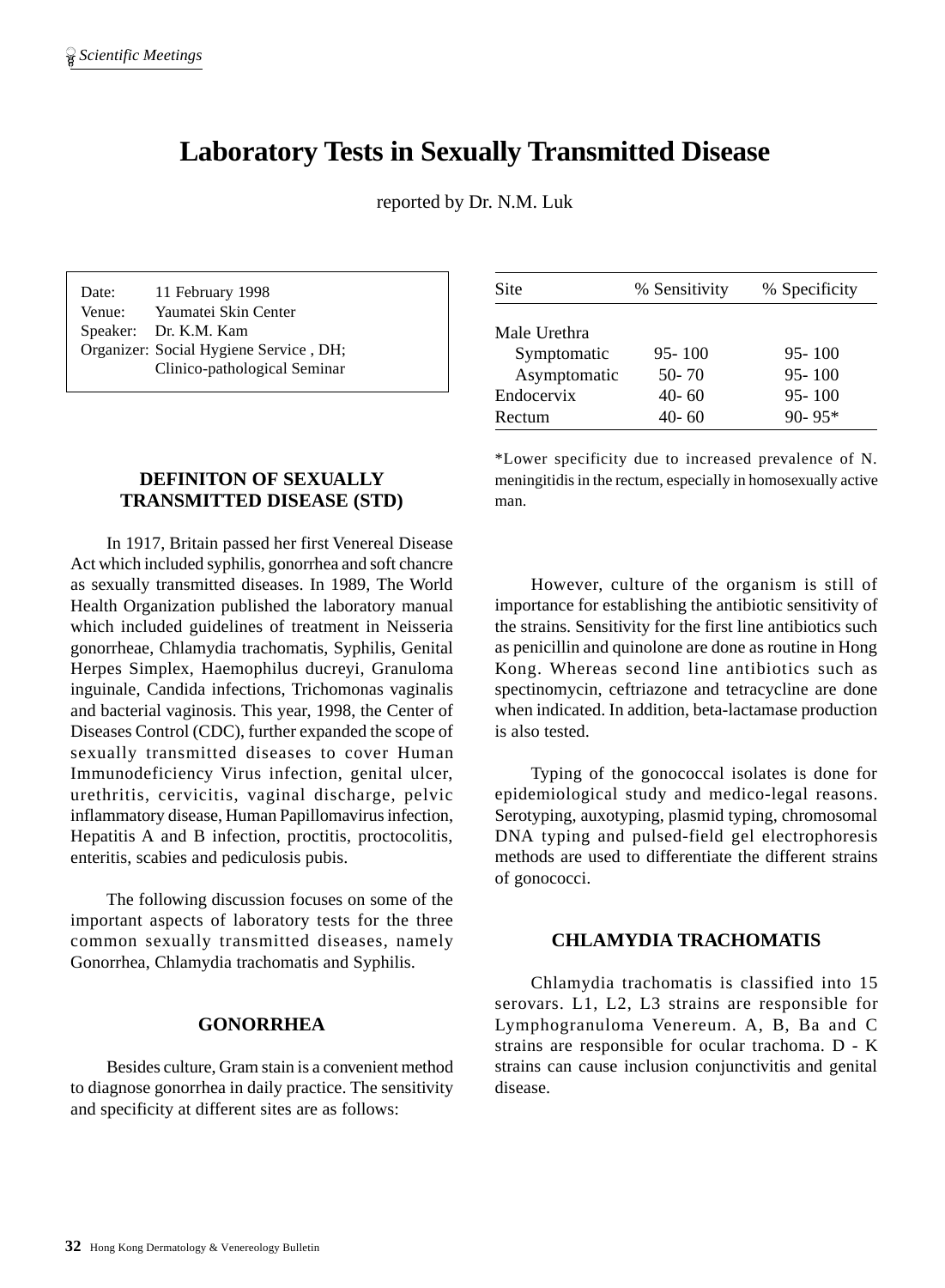## **Laboratory Tests in Sexually Transmitted Disease**

reported by Dr. N.M. Luk

Date: 11 February 1998 Venue: Yaumatei Skin Center Speaker: Dr. K.M. Kam Organizer: Social Hygiene Service , DH; Clinico-pathological Seminar

#### **DEFINITON OF SEXUALLY TRANSMITTED DISEASE (STD)**

In 1917, Britain passed her first Venereal Disease Act which included syphilis, gonorrhea and soft chancre as sexually transmitted diseases. In 1989, The World Health Organization published the laboratory manual which included guidelines of treatment in Neisseria gonorrheae, Chlamydia trachomatis, Syphilis, Genital Herpes Simplex, Haemophilus ducreyi, Granuloma inguinale, Candida infections, Trichomonas vaginalis and bacterial vaginosis. This year, 1998, the Center of Diseases Control (CDC), further expanded the scope of sexually transmitted diseases to cover Human Immunodeficiency Virus infection, genital ulcer, urethritis, cervicitis, vaginal discharge, pelvic inflammatory disease, Human Papillomavirus infection, Hepatitis A and B infection, proctitis, proctocolitis, enteritis, scabies and pediculosis pubis.

The following discussion focuses on some of the important aspects of laboratory tests for the three common sexually transmitted diseases, namely Gonorrhea, Chlamydia trachomatis and Syphilis.

#### **GONORRHEA**

Besides culture, Gram stain is a convenient method to diagnose gonorrhea in daily practice. The sensitivity and specificity at different sites are as follows:

| Site         | % Sensitivity | % Specificity |
|--------------|---------------|---------------|
| Male Urethra |               |               |
| Symptomatic  | $95 - 100$    | $95 - 100$    |
| Asymptomatic | $50 - 70$     | $95 - 100$    |
| Endocervix   | $40 - 60$     | $95 - 100$    |
| Rectum       | $40 - 60$     | $90 - 95*$    |

\*Lower specificity due to increased prevalence of N. meningitidis in the rectum, especially in homosexually active man.

However, culture of the organism is still of importance for establishing the antibiotic sensitivity of the strains. Sensitivity for the first line antibiotics such as penicillin and quinolone are done as routine in Hong Kong. Whereas second line antibiotics such as spectinomycin, ceftriazone and tetracycline are done when indicated. In addition, beta-lactamase production is also tested.

Typing of the gonococcal isolates is done for epidemiological study and medico-legal reasons. Serotyping, auxotyping, plasmid typing, chromosomal DNA typing and pulsed-field gel electrophoresis methods are used to differentiate the different strains of gonococci.

#### **CHLAMYDIA TRACHOMATIS**

Chlamydia trachomatis is classified into 15 serovars. L1, L2, L3 strains are responsible for Lymphogranuloma Venereum. A, B, Ba and C strains are responsible for ocular trachoma. D - K strains can cause inclusion conjunctivitis and genital disease.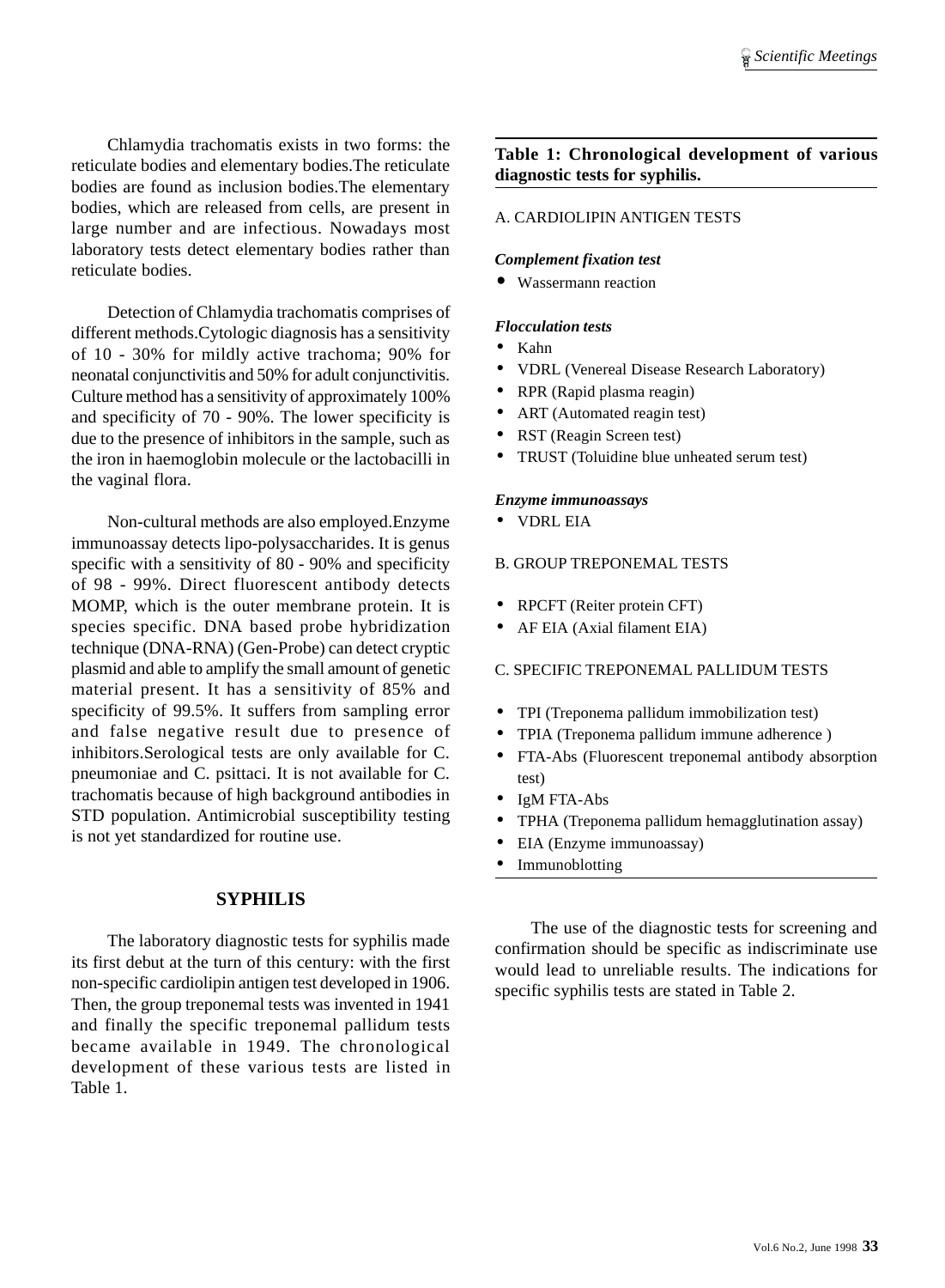Chlamydia trachomatis exists in two forms: the reticulate bodies and elementary bodies.The reticulate bodies are found as inclusion bodies.The elementary bodies, which are released from cells, are present in large number and are infectious. Nowadays most laboratory tests detect elementary bodies rather than reticulate bodies.

Detection of Chlamydia trachomatis comprises of different methods.Cytologic diagnosis has a sensitivity of 10 - 30% for mildly active trachoma; 90% for neonatal conjunctivitis and 50% for adult conjunctivitis. Culture method has a sensitivity of approximately 100% and specificity of 70 - 90%. The lower specificity is due to the presence of inhibitors in the sample, such as the iron in haemoglobin molecule or the lactobacilli in the vaginal flora.

Non-cultural methods are also employed.Enzyme immunoassay detects lipo-polysaccharides. It is genus specific with a sensitivity of 80 - 90% and specificity of 98 - 99%. Direct fluorescent antibody detects MOMP, which is the outer membrane protein. It is species specific. DNA based probe hybridization technique (DNA-RNA) (Gen-Probe) can detect cryptic plasmid and able to amplify the small amount of genetic material present. It has a sensitivity of 85% and specificity of 99.5%. It suffers from sampling error and false negative result due to presence of inhibitors.Serological tests are only available for C. pneumoniae and C. psittaci. It is not available for C. trachomatis because of high background antibodies in STD population. Antimicrobial susceptibility testing is not yet standardized for routine use.

#### **SYPHILIS**

The laboratory diagnostic tests for syphilis made its first debut at the turn of this century: with the first non-specific cardiolipin antigen test developed in 1906. Then, the group treponemal tests was invented in 1941 and finally the specific treponemal pallidum tests became available in 1949. The chronological development of these various tests are listed in Table 1.

### **Table 1: Chronological development of various diagnostic tests for syphilis.**

### A. CARDIOLIPIN ANTIGEN TESTS

#### *Complement fixation test*

• Wassermann reaction

#### *Flocculation tests*

- Kahn
- VDRL (Venereal Disease Research Laboratory)
- RPR (Rapid plasma reagin)
- ART (Automated reagin test)
- RST (Reagin Screen test)
- TRUST (Toluidine blue unheated serum test)

#### *Enzyme immunoassays*

• VDRL EIA

#### B. GROUP TREPONEMAL TESTS

- RPCFT (Reiter protein CFT)
- AF EIA (Axial filament EIA)

#### C. SPECIFIC TREPONEMAL PALLIDUM TESTS

- TPI (Treponema pallidum immobilization test)
- TPIA (Treponema pallidum immune adherence )
- FTA-Abs (Fluorescent treponemal antibody absorption test)
- IgM FTA-Abs
- TPHA (Treponema pallidum hemagglutination assay)
- EIA (Enzyme immunoassay)
- Immunoblotting

The use of the diagnostic tests for screening and confirmation should be specific as indiscriminate use would lead to unreliable results. The indications for specific syphilis tests are stated in Table 2.